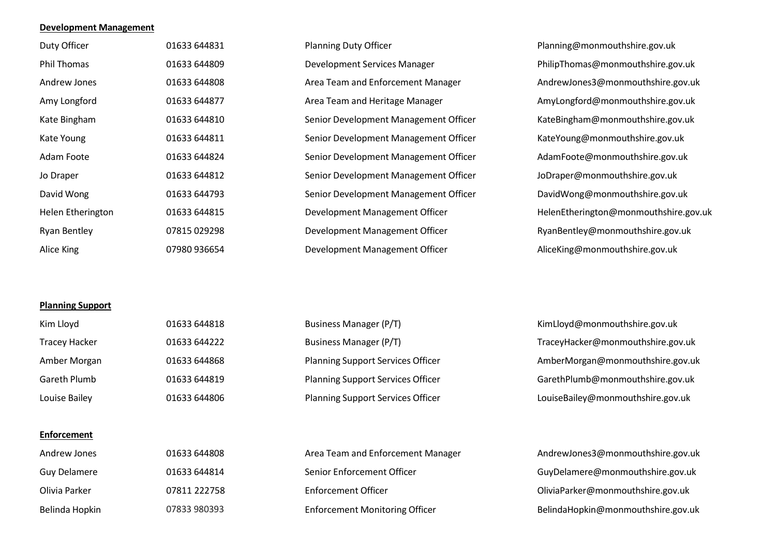### **Development Management**

| Duty Officer        | 01633 644831 | <b>Planning Duty Officer</b>          | Planning@monmouthshire.gov.uk         |
|---------------------|--------------|---------------------------------------|---------------------------------------|
| Phil Thomas         | 01633 644809 | Development Services Manager          | PhilipThomas@monmouthshire.gov.uk     |
| Andrew Jones        | 01633 644808 | Area Team and Enforcement Manager     | AndrewJones3@monmouthshire.gov.uk     |
| Amy Longford        | 01633 644877 | Area Team and Heritage Manager        | AmyLongford@monmouthshire.gov.uk      |
| Kate Bingham        | 01633 644810 | Senior Development Management Officer | KateBingham@monmouthshire.gov.uk      |
| Kate Young          | 01633 644811 | Senior Development Management Officer | KateYoung@monmouthshire.gov.uk        |
| Adam Foote          | 01633 644824 | Senior Development Management Officer | AdamFoote@monmouthshire.gov.uk        |
| Jo Draper           | 01633 644812 | Senior Development Management Officer | JoDraper@monmouthshire.gov.uk         |
| David Wong          | 01633 644793 | Senior Development Management Officer | DavidWong@monmouthshire.gov.uk        |
| Helen Etherington   | 01633 644815 | Development Management Officer        | HelenEtherington@monmouthshire.gov.uk |
| <b>Ryan Bentley</b> | 07815 029298 | Development Management Officer        | RyanBentley@monmouthshire.gov.uk      |
| Alice King          | 07980 936654 | Development Management Officer        | AliceKing@monmouthshire.gov.uk        |

# **Planning Support**

| Kim Lloyd            | 01633 644818 | Business Manager (P/T)                   | KimLloyd@monmouthshire.gov.uk     |
|----------------------|--------------|------------------------------------------|-----------------------------------|
| <b>Tracey Hacker</b> | 01633 644222 | <b>Business Manager (P/T)</b>            | TraceyHacker@monmouthshire.gov.uk |
| Amber Morgan         | 01633 644868 | <b>Planning Support Services Officer</b> | AmberMorgan@monmouthshire.gov.uk  |
| Gareth Plumb         | 01633 644819 | <b>Planning Support Services Officer</b> | GarethPlumb@monmouthshire.gov.uk  |
| Louise Bailey        | 01633 644806 | <b>Planning Support Services Officer</b> | LouiseBailey@monmouthshire.gov.uk |
|                      |              |                                          |                                   |

#### **Enforcement**

| Andrew Jones        | 01633 644808 | Area Team and Enforcement Manager     | AndrewJones3@monmouthshire.gov.uk  |
|---------------------|--------------|---------------------------------------|------------------------------------|
| <b>Guy Delamere</b> | 01633 644814 | Senior Enforcement Officer            | GuyDelamere@monmouthshire.gov.uk   |
| Olivia Parker       | 07811 222758 | <b>Enforcement Officer</b>            | OliviaParker@monmouthshire.gov.uk  |
| Belinda Hopkin      | 07833 980393 | <b>Enforcement Monitoring Officer</b> | BelindaHopkin@monmouthshire.gov.uk |

| Area Team and Enforcement Manager     |
|---------------------------------------|
| Senior Enforcement Officer            |
| Enforcement Officer                   |
| <b>Enforcement Monitoring Officer</b> |